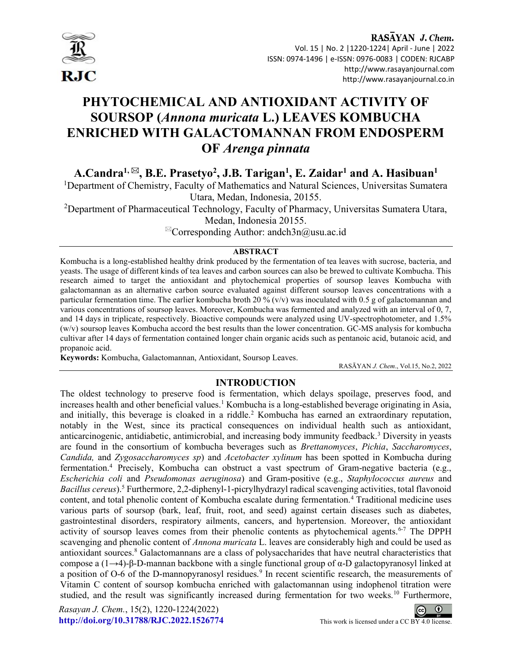

I

#### RASAYAN J. Chem. Vol. 15 | No. 2 |1220-1224| April - June | 2022 ISSN: 0974-1496 | e-ISSN: 0976-0083 | CODEN: RJCABP http://www.rasayanjournal.com http://www.rasayanjournal.co.in

# PHYTOCHEMICAL AND ANTIOXIDANT ACTIVITY OF SOURSOP (Annona muricata L.) LEAVES KOMBUCHA ENRICHED WITH GALACTOMANNAN FROM ENDOSPERM OF Arenga pinnata

A.Candra<sup>1,  $\boxtimes$ </sup>, B.E. Prasetyo<sup>2</sup>, J.B. Tarigan<sup>1</sup>, E. Zaidar<sup>1</sup> and A. Hasibuan<sup>1</sup>

<sup>1</sup>Department of Chemistry, Faculty of Mathematics and Natural Sciences, Universitas Sumatera Utara, Medan, Indonesia, 20155.

<sup>2</sup>Department of Pharmaceutical Technology, Faculty of Pharmacy, Universitas Sumatera Utara, Medan, Indonesia 20155.

 ${}^{\boxtimes}$ Corresponding Author: andch3n@usu.ac.id

#### **ABSTRACT**

Kombucha is a long-established healthy drink produced by the fermentation of tea leaves with sucrose, bacteria, and yeasts. The usage of different kinds of tea leaves and carbon sources can also be brewed to cultivate Kombucha. This research aimed to target the antioxidant and phytochemical properties of soursop leaves Kombucha with galactomannan as an alternative carbon source evaluated against different soursop leaves concentrations with a particular fermentation time. The earlier kombucha broth 20 % (v/v) was inoculated with 0.5 g of galactomannan and various concentrations of soursop leaves. Moreover, Kombucha was fermented and analyzed with an interval of 0, 7, and 14 days in triplicate, respectively. Bioactive compounds were analyzed using UV-spectrophotometer, and 1.5% (w/v) soursop leaves Kombucha accord the best results than the lower concentration. GC-MS analysis for kombucha cultivar after 14 days of fermentation contained longer chain organic acids such as pentanoic acid, butanoic acid, and propanoic acid.

Keywords: Kombucha, Galactomannan, Antioxidant, Soursop Leaves.

RASĀYAN J. Chem., Vol.15, No.2, 2022

### INTRODUCTION

The oldest technology to preserve food is fermentation, which delays spoilage, preserves food, and increases health and other beneficial values.<sup>1</sup> Kombucha is a long-established beverage originating in Asia, and initially, this beverage is cloaked in a riddle.<sup>2</sup> Kombucha has earned an extraordinary reputation, notably in the West, since its practical consequences on individual health such as antioxidant, anticarcinogenic, antidiabetic, antimicrobial, and increasing body immunity feedback.<sup>3</sup> Diversity in yeasts are found in the consortium of kombucha beverages such as Brettanomyces, Pichia, Saccharomyces, Candida, and Zygosaccharomyces sp) and Acetobacter xylinum has been spotted in Kombucha during fermentation.<sup>4</sup> Precisely, Kombucha can obstruct a vast spectrum of Gram-negative bacteria (e.g., Escherichia coli and Pseudomonas aeruginosa) and Gram-positive (e.g., Staphylococcus aureus and Bacillus cereus).<sup>5</sup> Furthermore, 2,2-diphenyl-1-picrylhydrazyl radical scavenging activities, total flavonoid content, and total phenolic content of Kombucha escalate during fermentation.<sup>4</sup> Traditional medicine uses various parts of soursop (bark, leaf, fruit, root, and seed) against certain diseases such as diabetes, gastrointestinal disorders, respiratory ailments, cancers, and hypertension. Moreover, the antioxidant activity of soursop leaves comes from their phenolic contents as phytochemical agents.<sup>6-7</sup> The DPPH scavenging and phenolic content of *Annona muricata* L. leaves are considerably high and could be used as antioxidant sources.<sup>8</sup> Galactomannans are a class of polysaccharides that have neutral characteristics that compose a (1→4)-β-D-mannan backbone with a single functional group of α-D galactopyranosyl linked at a position of O-6 of the D-mannopyranosyl residues.<sup>9</sup> In recent scientific research, the measurements of Vitamin C content of soursop kombucha enriched with galactomannan using indophenol titration were studied, and the result was significantly increased during fermentation for two weeks.<sup>10</sup> Furthermore,

Rasayan J. Chem., 15(2), 1220-1224(2022) http://doi.org/10.31788/RJC.2022.1526774 This work is licensed under a CC BY 4.0 license.

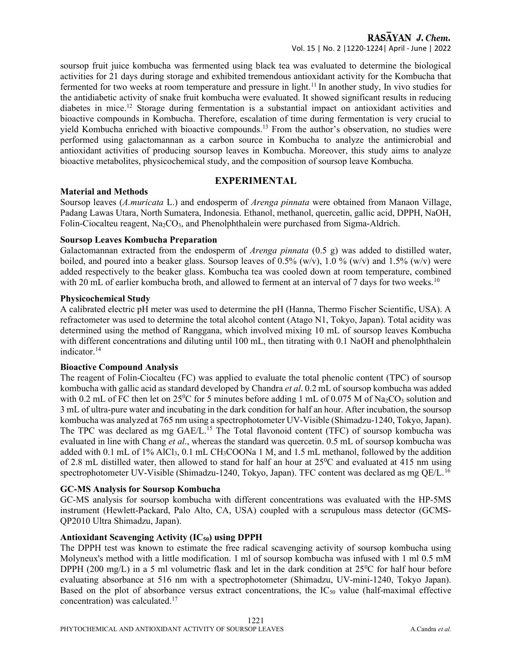soursop fruit juice kombucha was fermented using black tea was evaluated to determine the biological activities for 21 days during storage and exhibited tremendous antioxidant activity for the Kombucha that fermented for two weeks at room temperature and pressure in light.<sup>11</sup> In another study, In vivo studies for the antidiabetic activity of snake fruit kombucha were evaluated. It showed significant results in reducing diabetes in mice.<sup>12</sup> Storage during fermentation is a substantial impact on antioxidant activities and bioactive compounds in Kombucha. Therefore, escalation of time during fermentation is very crucial to yield Kombucha enriched with bioactive compounds.<sup>13</sup> From the author's observation, no studies were performed using galactomannan as a carbon source in Kombucha to analyze the antimicrobial and antioxidant activities of producing soursop leaves in Kombucha. Moreover, this study aims to analyze bioactive metabolites, physicochemical study, and the composition of soursop leave Kombucha.

#### EXPERIMENTAL

#### Material and Methods

Soursop leaves (A.muricata L.) and endosperm of Arenga pinnata were obtained from Manaon Village, Padang Lawas Utara, North Sumatera, Indonesia. Ethanol, methanol, quercetin, gallic acid, DPPH, NaOH, Folin-Ciocalteu reagent,  $Na<sub>2</sub>CO<sub>3</sub>$ , and Phenolphthalein were purchased from Sigma-Aldrich.

#### Soursop Leaves Kombucha Preparation

Galactomannan extracted from the endosperm of *Arenga pinnata* (0.5 g) was added to distilled water, boiled, and poured into a beaker glass. Soursop leaves of 0.5% (w/v), 1.0 % (w/v) and 1.5% (w/v) were added respectively to the beaker glass. Kombucha tea was cooled down at room temperature, combined with 20 mL of earlier kombucha broth, and allowed to ferment at an interval of 7 days for two weeks.<sup>10</sup>

#### Physicochemical Study

A calibrated electric pH meter was used to determine the pH (Hanna, Thermo Fischer Scientific, USA). A refractometer was used to determine the total alcohol content (Atago N1, Tokyo, Japan). Total acidity was determined using the method of Ranggana, which involved mixing 10 mL of soursop leaves Kombucha with different concentrations and diluting until 100 mL, then titrating with 0.1 NaOH and phenolphthalein indicator.<sup>14</sup>

#### Bioactive Compound Analysis

The reagent of Folin-Ciocalteu (FC) was applied to evaluate the total phenolic content (TPC) of soursop kombucha with gallic acid as standard developed by Chandra *et al.* 0.2 mL of soursop kombucha was added with 0.2 mL of FC then let on 25<sup>o</sup>C for 5 minutes before adding 1 mL of 0.075 M of Na<sub>2</sub>CO<sub>3</sub> solution and 3 mL of ultra-pure water and incubating in the dark condition for half an hour. After incubation, the soursop kombucha was analyzed at 765 nm using a spectrophotometer UV-Visible (Shimadzu-1240, Tokyo, Japan). The TPC was declared as mg GAE/L.<sup>15</sup> The Total flavonoid content (TFC) of soursop kombucha was evaluated in line with Chang *et al.*, whereas the standard was quercetin. 0.5 mL of soursop kombucha was added with 0.1 mL of 1% AlCl<sub>3</sub>, 0.1 mL CH<sub>3</sub>COONa 1 M, and 1.5 mL methanol, followed by the addition of 2.8 mL distilled water, then allowed to stand for half an hour at  $25^{\circ}$ C and evaluated at 415 nm using spectrophotometer UV-Visible (Shimadzu-1240, Tokyo, Japan). TFC content was declared as mg QE/L.<sup>16</sup>

#### GC-MS Analysis for Soursop Kombucha

GC-MS analysis for soursop kombucha with different concentrations was evaluated with the HP-5MS instrument (Hewlett-Packard, Palo Alto, CA, USA) coupled with a scrupulous mass detector (GCMS-QP2010 Ultra Shimadzu, Japan).

#### Antioxidant Scavenging Activity  $(IC_{50})$  using DPPH

The DPPH test was known to estimate the free radical scavenging activity of soursop kombucha using Molyneux's method with a little modification. 1 ml of soursop kombucha was infused with 1 ml 0.5 mM DPPH (200 mg/L) in a 5 ml volumetric flask and let in the dark condition at  $25^{\circ}$ C for half hour before evaluating absorbance at 516 nm with a spectrophotometer (Shimadzu, UV-mini-1240, Tokyo Japan). Based on the plot of absorbance versus extract concentrations, the  $IC_{50}$  value (half-maximal effective concentration) was calculated.17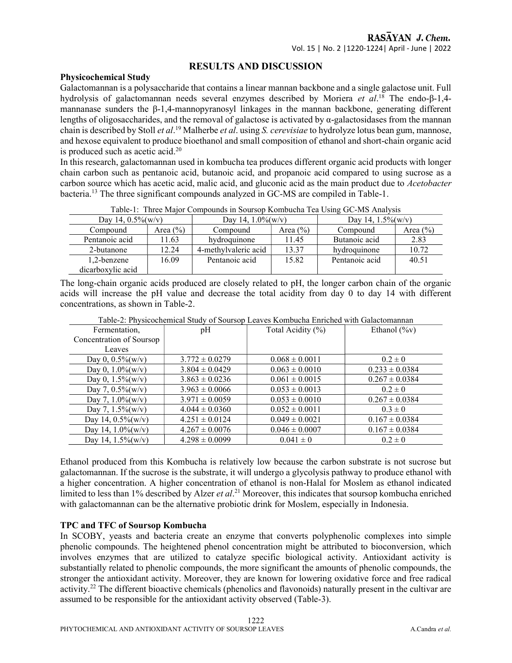#### RESULTS AND DISCUSSION

#### Physicochemical Study

Galactomannan is a polysaccharide that contains a linear mannan backbone and a single galactose unit. Full hydrolysis of galactomannan needs several enzymes described by Moriera et al.<sup>18</sup> The endo-β-1,4mannanase sunders the β-1,4-mannopyranosyl linkages in the mannan backbone, generating different lengths of oligosaccharides, and the removal of galactose is activated by  $\alpha$ -galactosidases from the mannan chain is described by Stoll *et al*.<sup>19</sup> Malherbe *et al*. using *S. cerevisiae* to hydrolyze lotus bean gum, mannose, and hexose equivalent to produce bioethanol and small composition of ethanol and short-chain organic acid is produced such as acetic acid.<sup>20</sup>

In this research, galactomannan used in kombucha tea produces different organic acid products with longer chain carbon such as pentanoic acid, butanoic acid, and propanoic acid compared to using sucrose as a carbon source which has acetic acid, malic acid, and gluconic acid as the main product due to Acetobacter bacteria.<sup>13</sup> The three significant compounds analyzed in GC-MS are compiled in Table-1.

| Twore it Three major composition in Boardop reditioneries come of the Thin Hold |              |                       |              |                       |              |  |
|---------------------------------------------------------------------------------|--------------|-----------------------|--------------|-----------------------|--------------|--|
| Day 14, $0.5\%$ (w/v)                                                           |              | Day 14, $1.0\%$ (w/v) |              | Day 14, $1.5\%$ (w/v) |              |  |
| Compound                                                                        | Area $(\% )$ | Compound              | Area $(\% )$ | Compound              | Area $(\% )$ |  |
| Pentanoic acid                                                                  | 11.63        | hydroquinone          | 11.45        | Butanoic acid         | 2.83         |  |
| 2-butanone                                                                      | 12.24        | 4-methylvaleric acid  | 13.37        | hydroquinone          | 10.72        |  |
| 1,2-benzene                                                                     | 16.09        | Pentanoic acid        | 15.82        | Pentanoic acid        | 40.51        |  |
| dicarboxylic acid                                                               |              |                       |              |                       |              |  |

Table-1: Three Major Compounds in Soursop Kombucha Tea Using GC-MS Analysis

The long-chain organic acids produced are closely related to pH, the longer carbon chain of the organic acids will increase the pH value and decrease the total acidity from day 0 to day 14 with different concentrations, as shown in Table-2.

| Table-2. I hysicochemical study of soursep Leaves Kombucha Emicheu with Galactomanian |                    |                    |                    |  |  |
|---------------------------------------------------------------------------------------|--------------------|--------------------|--------------------|--|--|
| Fermentation,                                                                         | pH                 | Total Acidity (%)  | Ethanol $(\%v)$    |  |  |
| Concentration of Soursop                                                              |                    |                    |                    |  |  |
| Leaves                                                                                |                    |                    |                    |  |  |
| Day 0, $0.5\%$ (w/v)                                                                  | $3.772 \pm 0.0279$ | $0.068 \pm 0.0011$ | $0.2 \pm 0$        |  |  |
| Day 0, $1.0\%$ (w/v)                                                                  | $3.804 \pm 0.0429$ | $0.063 \pm 0.0010$ | $0.233 \pm 0.0384$ |  |  |
| Day 0, $1.5\%$ (w/v)                                                                  | $3.863 \pm 0.0236$ | $0.061 \pm 0.0015$ | $0.267 \pm 0.0384$ |  |  |
| Day 7, $0.5\%$ (w/v)                                                                  | $3.963 \pm 0.0066$ | $0.053 \pm 0.0013$ | $0.2 \pm 0$        |  |  |
| Day 7, $1.0\%$ (w/v)                                                                  | $3.971 \pm 0.0059$ | $0.053 \pm 0.0010$ | $0.267 \pm 0.0384$ |  |  |
| Day 7, $1.5\%$ (w/v)                                                                  | $4.044 \pm 0.0360$ | $0.052 \pm 0.0011$ | $0.3 \pm 0$        |  |  |
| Day 14, $0.5\%$ (w/v)                                                                 | $4.251 \pm 0.0124$ | $0.049 \pm 0.0021$ | $0.167 \pm 0.0384$ |  |  |
| Day 14, $1.0\%$ (w/v)                                                                 | $4.267 \pm 0.0076$ | $0.046 \pm 0.0007$ | $0.167 \pm 0.0384$ |  |  |
| Day 14, $1.5\%$ (w/v)                                                                 | $4.298 \pm 0.0099$ | $0.041 \pm 0$      | $0.2 \pm 0$        |  |  |

Table-2: Physicochemical Study of Soursop Leaves Kombucha Enriched with Galactomannan

Ethanol produced from this Kombucha is relatively low because the carbon substrate is not sucrose but galactomannan. If the sucrose is the substrate, it will undergo a glycolysis pathway to produce ethanol with a higher concentration. A higher concentration of ethanol is non-Halal for Moslem as ethanol indicated limited to less than 1% described by Alzer et al.<sup>21</sup> Moreover, this indicates that soursop kombucha enriched with galactomannan can be the alternative probiotic drink for Moslem, especially in Indonesia.

#### TPC and TFC of Soursop Kombucha

In SCOBY, yeasts and bacteria create an enzyme that converts polyphenolic complexes into simple phenolic compounds. The heightened phenol concentration might be attributed to bioconversion, which involves enzymes that are utilized to catalyze specific biological activity. Antioxidant activity is substantially related to phenolic compounds, the more significant the amounts of phenolic compounds, the stronger the antioxidant activity. Moreover, they are known for lowering oxidative force and free radical activity.<sup>22</sup> The different bioactive chemicals (phenolics and flavonoids) naturally present in the cultivar are assumed to be responsible for the antioxidant activity observed (Table-3).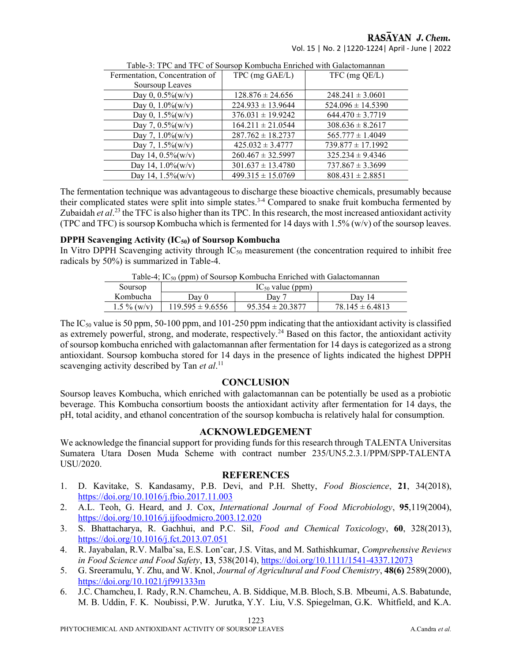## RASAYAN J. Chem.

Vol. 15 | No. 2 |1220-1224| April - June | 2022

| Table 5. ITC and ITC 01 Soulsop Kombucha Emichcu whil Galactomanian |                       |                       |  |  |
|---------------------------------------------------------------------|-----------------------|-----------------------|--|--|
| Fermentation, Concentration of                                      | TPC (mg GAE/L)        | $TFC$ (mg $QE/L$ )    |  |  |
| Soursoup Leaves                                                     |                       |                       |  |  |
| Day 0, $0.5\%$ (w/v)                                                | $128.876 \pm 24.656$  | $248.241 \pm 3.0601$  |  |  |
| Day 0, $1.0\%$ (w/v)                                                | $224.933 \pm 13.9644$ | $524.096 \pm 14.5390$ |  |  |
| Day 0, $1.5\%$ (w/v)                                                | $376.031 \pm 19.9242$ | $644.470 \pm 3.7719$  |  |  |
| Day 7, $0.5\%$ (w/v)                                                | $164.211 \pm 21.0544$ | $308.636 \pm 8.2617$  |  |  |
| Day 7, $1.0\%$ (w/v)                                                | $287.762 \pm 18.2737$ | $565.777 \pm 1.4049$  |  |  |
| Day 7, $1.5\%$ (w/v)                                                | $425.032 \pm 3.4777$  | $739.877 \pm 17.1992$ |  |  |
| Day 14, $0.5\%$ (w/v)                                               | $260.467 \pm 32.5997$ | $325.234 \pm 9.4346$  |  |  |
| Day 14, $1.0\%$ (w/v)                                               | $301.637 \pm 13.4780$ | $737.867 \pm 3.3699$  |  |  |
| Day 14, 1.5%(w/v)                                                   | $499.315 \pm 15.0769$ | $808.431 \pm 2.8851$  |  |  |

Table-3: TPC and TFC of Soursop Kombucha Enriched with Galactomannan

The fermentation technique was advantageous to discharge these bioactive chemicals, presumably because their complicated states were split into simple states.<sup>3-4</sup> Compared to snake fruit kombucha fermented by Zubaidah et  $al$ <sup>23</sup> the TFC is also higher than its TPC. In this research, the most increased antioxidant activity (TPC and TFC) is soursop Kombucha which is fermented for 14 days with 1.5% (w/v) of the soursop leaves.

#### DPPH Scavenging Activity  $(IC_{50})$  of Soursop Kombucha

In Vitro DPPH Scavenging activity through  $IC_{50}$  measurement (the concentration required to inhibit free radicals by 50%) is summarized in Table-4.

| Lable-4; $IC_{50}$ (ppm) of Soursop Kombucha Enriched with Galactomannan |                       |                      |                     |  |  |
|--------------------------------------------------------------------------|-----------------------|----------------------|---------------------|--|--|
| Soursop                                                                  | $IC_{50}$ value (ppm) |                      |                     |  |  |
| Kombucha                                                                 | Dav 0                 | Dav 7                | Dav 14              |  |  |
| $1.5\%$ (w/y)                                                            | $119.595 \pm 9.6556$  | $95.354 \pm 20.3877$ | $78.145 \pm 6.4813$ |  |  |

 $T<sub>1</sub>$   $T<sub>2</sub>$   $T<sub>3</sub>$   $T<sub>4</sub>$   $T<sub>5</sub>$  (ppm) of  $S<sub>1</sub>$  and  $K<sub>2</sub>$  and  $T<sub>5</sub>$  and  $T<sub>6</sub>$  and  $T<sub>7</sub>$  and  $T<sub>8</sub>$  and  $T<sub>9</sub>$  and  $T<sub>9</sub>$  and  $T<sub>9</sub>$  and  $T<sub>9</sub>$  and  $T<sub>9</sub>$ 

The IC50 value is 50 ppm, 50-100 ppm, and 101-250 ppm indicating that the antioxidant activity is classified as extremely powerful, strong, and moderate, respectively.<sup>24</sup> Based on this factor, the antioxidant activity of soursop kombucha enriched with galactomannan after fermentation for 14 days is categorized as a strong antioxidant. Soursop kombucha stored for 14 days in the presence of lights indicated the highest DPPH scavenging activity described by Tan et al.<sup>11</sup>

#### **CONCLUSION**

Soursop leaves Kombucha, which enriched with galactomannan can be potentially be used as a probiotic beverage. This Kombucha consortium boosts the antioxidant activity after fermentation for 14 days, the pH, total acidity, and ethanol concentration of the soursop kombucha is relatively halal for consumption.

#### ACKNOWLEDGEMENT

We acknowledge the financial support for providing funds for this research through TALENTA Universitas Sumatera Utara Dosen Muda Scheme with contract number 235/UN5.2.3.1/PPM/SPP-TALENTA USU/2020.

#### **REFERENCES**

- 1. D. Kavitake, S. Kandasamy, P.B. Devi, and P.H. Shetty, Food Bioscience, 21, 34(2018), https://doi.org/10.1016/j.fbio.2017.11.003
- 2. A.L. Teoh, G. Heard, and J. Cox, International Journal of Food Microbiology, 95,119(2004), https://doi.org/10.1016/j.ijfoodmicro.2003.12.020
- 3. S. Bhattacharya, R. Gachhui, and P.C. Sil, Food and Chemical Toxicology, 60, 328(2013), https://doi.org/10.1016/j.fct.2013.07.051
- 4. R. Jayabalan, R.V. Malbaˇsa, E.S. Lonˇcar, J.S. Vitas, and M. Sathishkumar, Comprehensive Reviews in Food Science and Food Safety, 13, 538(2014), https://doi.org/10.1111/1541-4337.12073
- 5. G. Sreeramulu, Y. Zhu, and W. Knol, Journal of Agricultural and Food Chemistry, 48(6) 2589(2000), https://doi.org/10.1021/jf991333m
- 6. J.C. Chamcheu, I. Rady, R.N. Chamcheu, A. B. Siddique, M.B. Bloch, S.B. Mbeumi, A.S. Babatunde, M. B. Uddin, F. K. Noubissi, P.W. Jurutka, Y.Y. Liu, V.S. Spiegelman, G.K. Whitfield, and K.A.